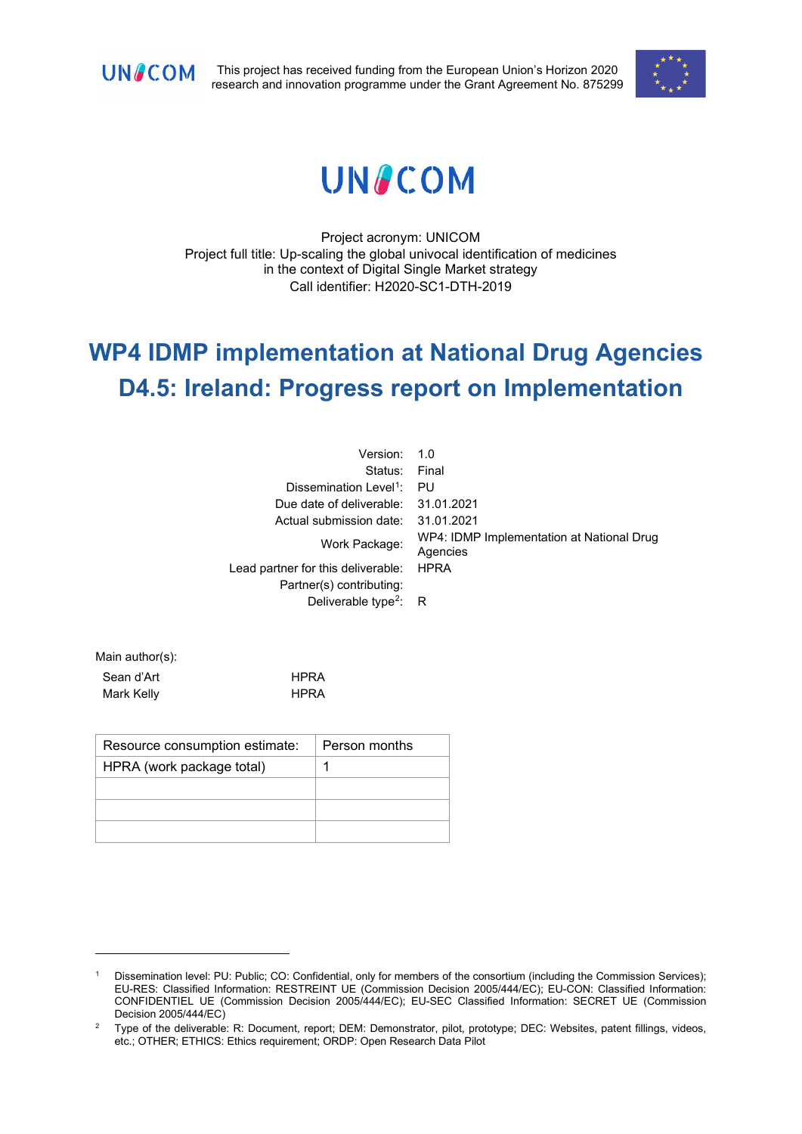

This project has received funding from the European Union's Horizon 2020 research and innovation programme under the Grant Agreement No. 875299



# **UNACOM**

Project acronym: UNICOM Project full title: Up-scaling the global univocal identification of medicines in the context of Digital Single Market strategy Call identifier: H2020-SC1-DTH-2019

# **WP4 IDMP implementation at National Drug Agencies D4.5: Ireland: Progress report on Implementation**

| Version:                           | $-1.0$                                                |
|------------------------------------|-------------------------------------------------------|
| Status: Final                      |                                                       |
| Dissemination Level <sup>1</sup> : | PU                                                    |
| Due date of deliverable:           | 31.01.2021                                            |
| Actual submission date:            | 31.01.2021                                            |
| Work Package:                      | WP4: IDMP Implementation at National Drug<br>Agencies |
| Lead partner for this deliverable: | <b>HPRA</b>                                           |
| Partner(s) contributing:           |                                                       |
| Deliverable type <sup>2</sup> :    | - R                                                   |

Main author(s): Sean d'Art **HPRA** Mark Kelly **HPRA** 

| Resource consumption estimate: | Person months |
|--------------------------------|---------------|
| HPRA (work package total)      |               |
|                                |               |
|                                |               |
|                                |               |

<span id="page-0-0"></span>Dissemination level: PU: Public; CO: Confidential, only for members of the consortium (including the Commission Services); EU-RES: Classified Information: RESTREINT UE (Commission Decision 2005/444/EC); EU-CON: Classified Information: CONFIDENTIEL UE (Commission Decision 2005/444/EC); EU-SEC Classified Information: SECRET UE (Commission Decision 2005/444/EC)

<span id="page-0-1"></span><sup>&</sup>lt;sup>2</sup> Type of the deliverable: R: Document, report; DEM: Demonstrator, pilot, prototype; DEC: Websites, patent fillings, videos, etc.; OTHER; ETHICS: Ethics requirement; ORDP: Open Research Data Pilot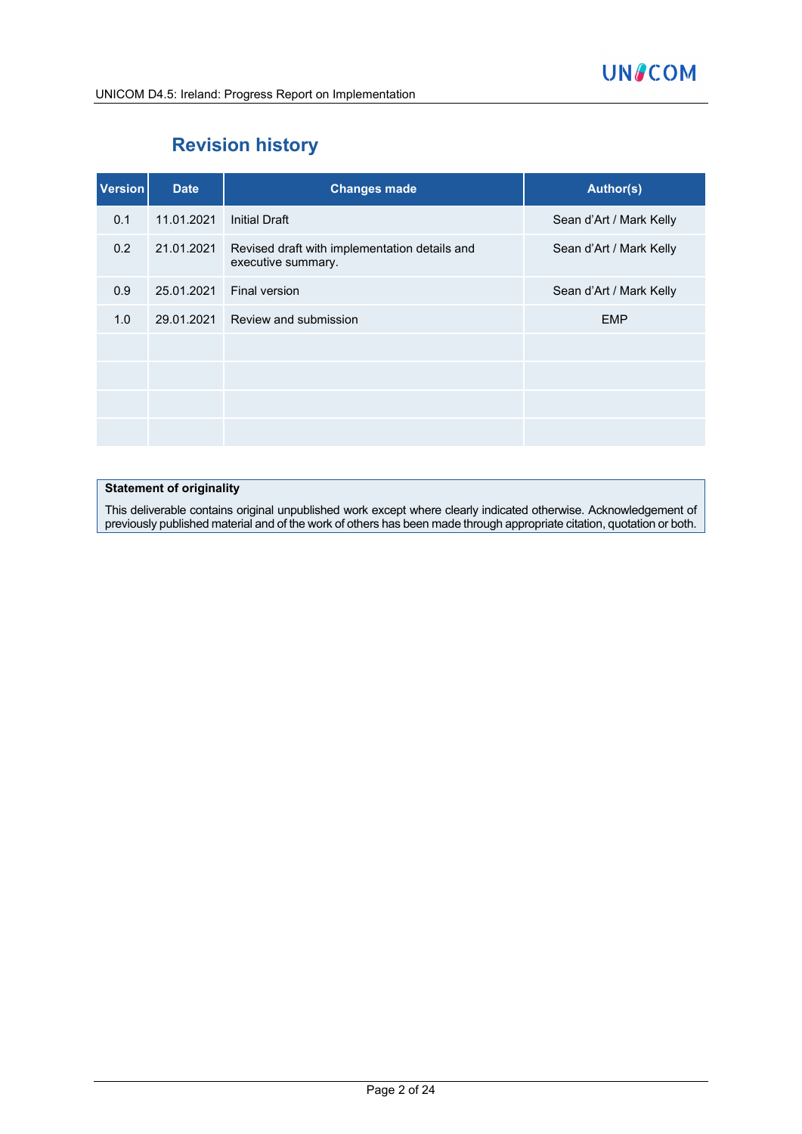

# **Revision history**

| <b>Version</b> | <b>Date</b> | <b>Changes made</b>                                                 | <b>Author(s)</b>        |
|----------------|-------------|---------------------------------------------------------------------|-------------------------|
| 0.1            | 11.01.2021  | <b>Initial Draft</b>                                                | Sean d'Art / Mark Kelly |
| 0.2            | 21.01.2021  | Revised draft with implementation details and<br>executive summary. | Sean d'Art / Mark Kelly |
| 0.9            | 25.01.2021  | Final version                                                       | Sean d'Art / Mark Kelly |
| 1.0            | 29.01.2021  | Review and submission                                               | <b>EMP</b>              |
|                |             |                                                                     |                         |
|                |             |                                                                     |                         |
|                |             |                                                                     |                         |
|                |             |                                                                     |                         |

#### **Statement of originality**

This deliverable contains original unpublished work except where clearly indicated otherwise. Acknowledgement of previously published material and of the work of others has been made through appropriate citation, quotation or both.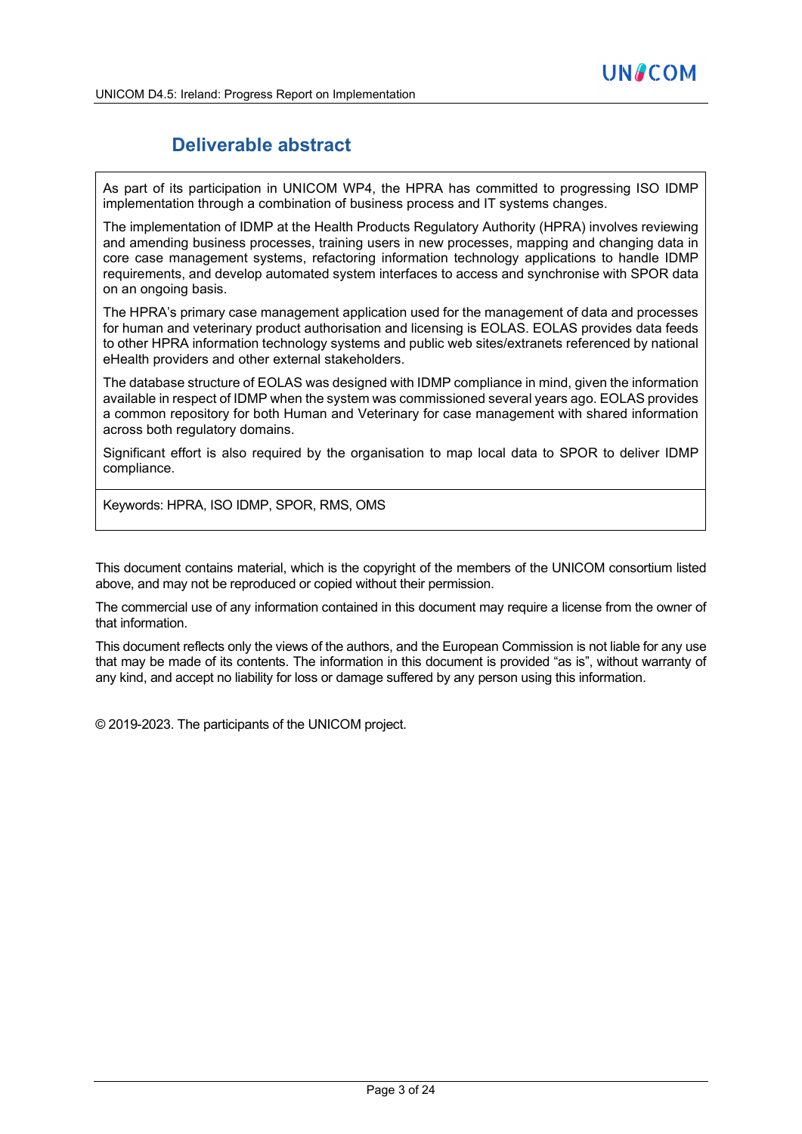# **Deliverable abstract**

As part of its participation in UNICOM WP4, the HPRA has committed to progressing ISO IDMP implementation through a combination of business process and IT systems changes.

The implementation of IDMP at the Health Products Regulatory Authority (HPRA) involves reviewing and amending business processes, training users in new processes, mapping and changing data in core case management systems, refactoring information technology applications to handle IDMP requirements, and develop automated system interfaces to access and synchronise with SPOR data on an ongoing basis.

The HPRA's primary case management application used for the management of data and processes for human and veterinary product authorisation and licensing is EOLAS. EOLAS provides data feeds to other HPRA information technology systems and public web sites/extranets referenced by national eHealth providers and other external stakeholders.

The database structure of EOLAS was designed with IDMP compliance in mind, given the information available in respect of IDMP when the system was commissioned several years ago. EOLAS provides a common repository for both Human and Veterinary for case management with shared information across both regulatory domains.

Significant effort is also required by the organisation to map local data to SPOR to deliver IDMP compliance.

Keywords: HPRA, ISO IDMP, SPOR, RMS, OMS

This document contains material, which is the copyright of the members of the UNICOM consortium listed above, and may not be reproduced or copied without their permission.

The commercial use of any information contained in this document may require a license from the owner of that information.

This document reflects only the views of the authors, and the European Commission is not liable for any use that may be made of its contents. The information in this document is provided "as is", without warranty of any kind, and accept no liability for loss or damage suffered by any person using this information.

© 2019-2023. The participants of the UNICOM project.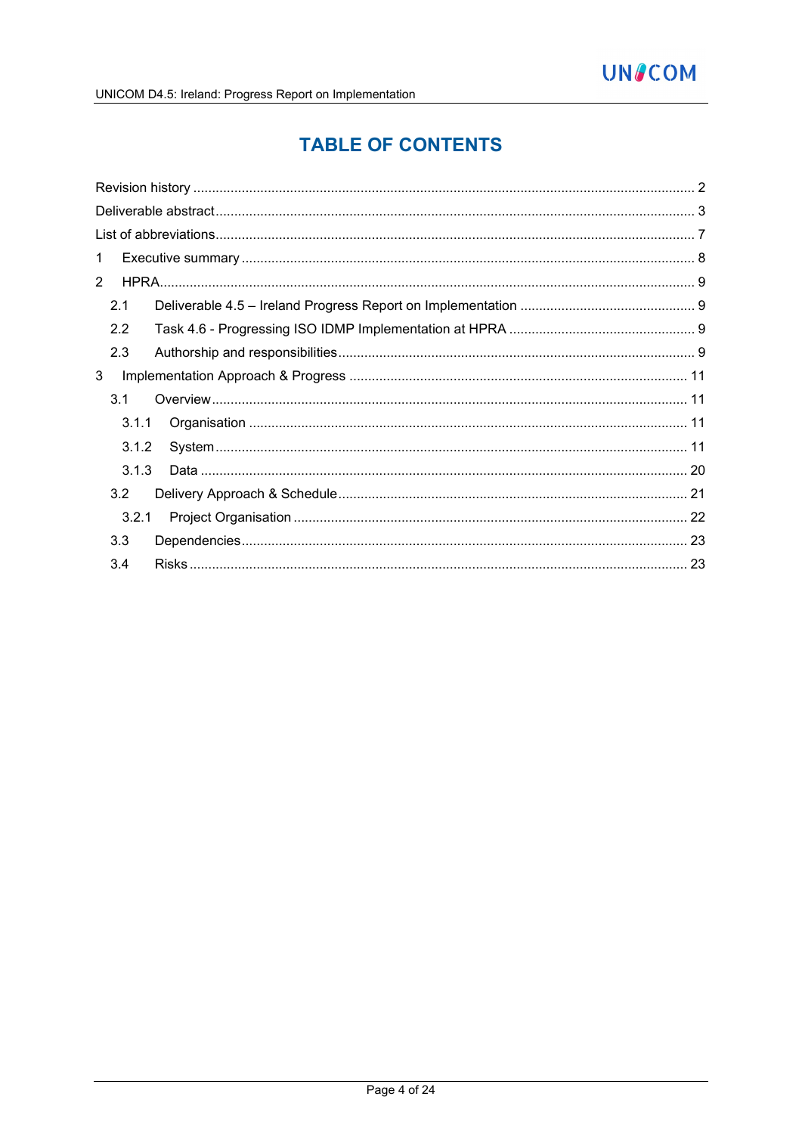# **TABLE OF CONTENTS**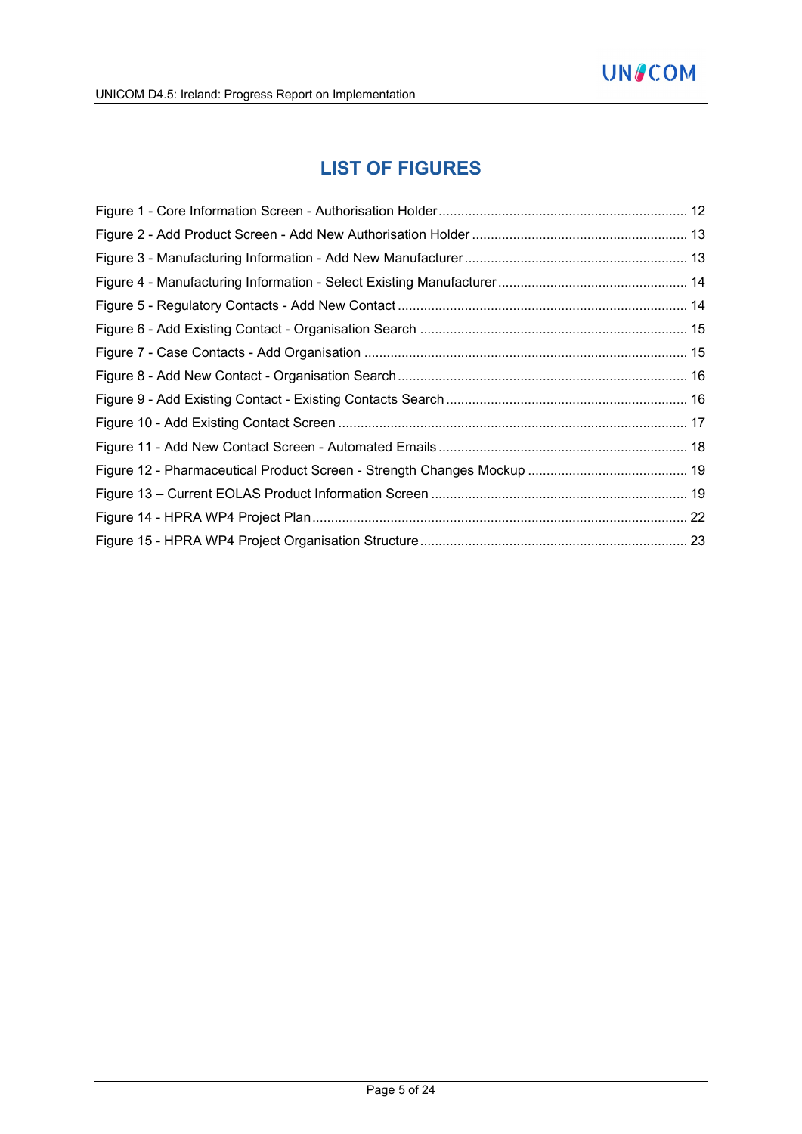# **LIST OF FIGURES**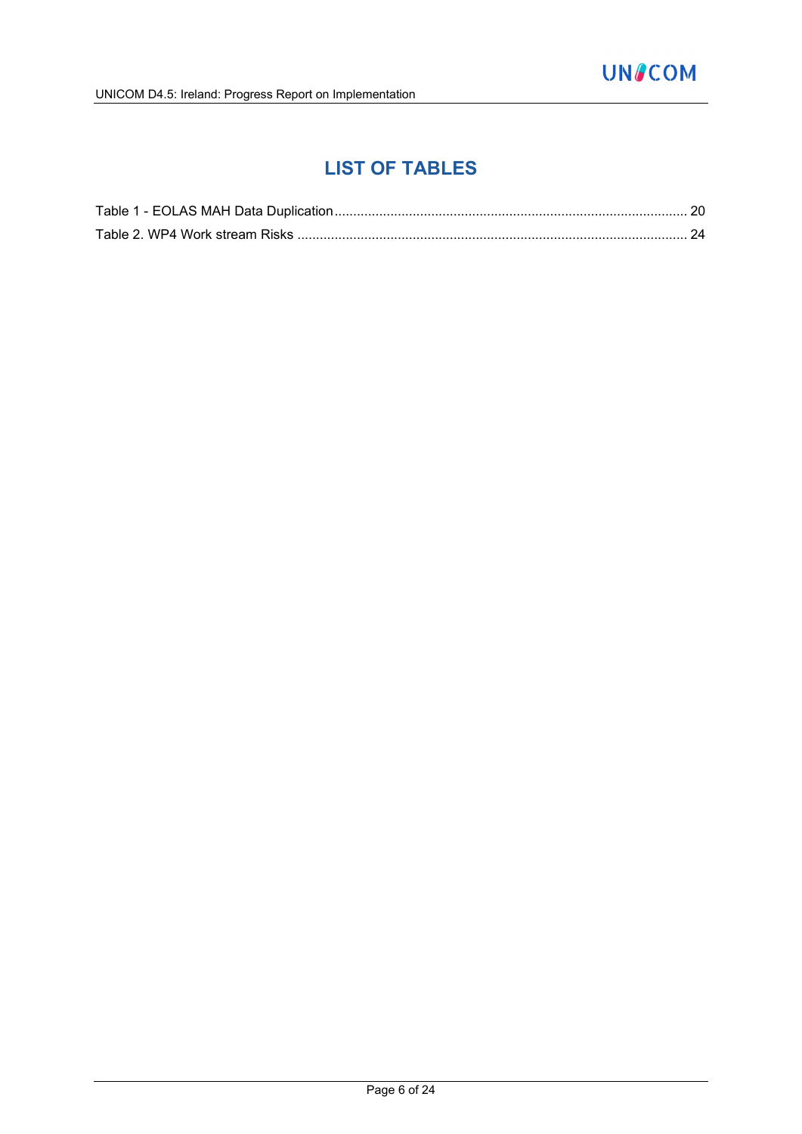# **LIST OF TABLES**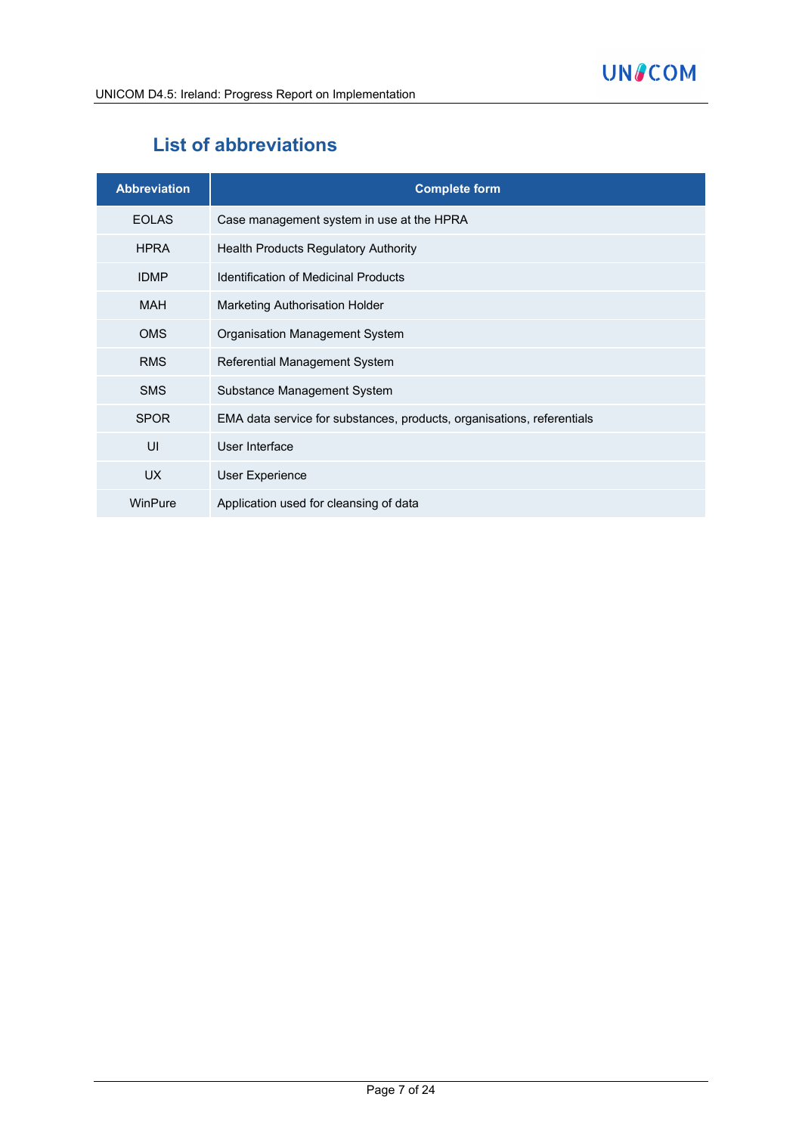# **List of abbreviations**

| <b>Abbreviation</b> | <b>Complete form</b>                                                   |
|---------------------|------------------------------------------------------------------------|
| <b>EOLAS</b>        | Case management system in use at the HPRA                              |
| <b>HPRA</b>         | <b>Health Products Regulatory Authority</b>                            |
| <b>IDMP</b>         | <b>Identification of Medicinal Products</b>                            |
| <b>MAH</b>          | <b>Marketing Authorisation Holder</b>                                  |
| <b>OMS</b>          | Organisation Management System                                         |
| <b>RMS</b>          | Referential Management System                                          |
| <b>SMS</b>          | Substance Management System                                            |
| <b>SPOR</b>         | EMA data service for substances, products, organisations, referentials |
| UI                  | User Interface                                                         |
| UX.                 | <b>User Experience</b>                                                 |
| WinPure             | Application used for cleansing of data                                 |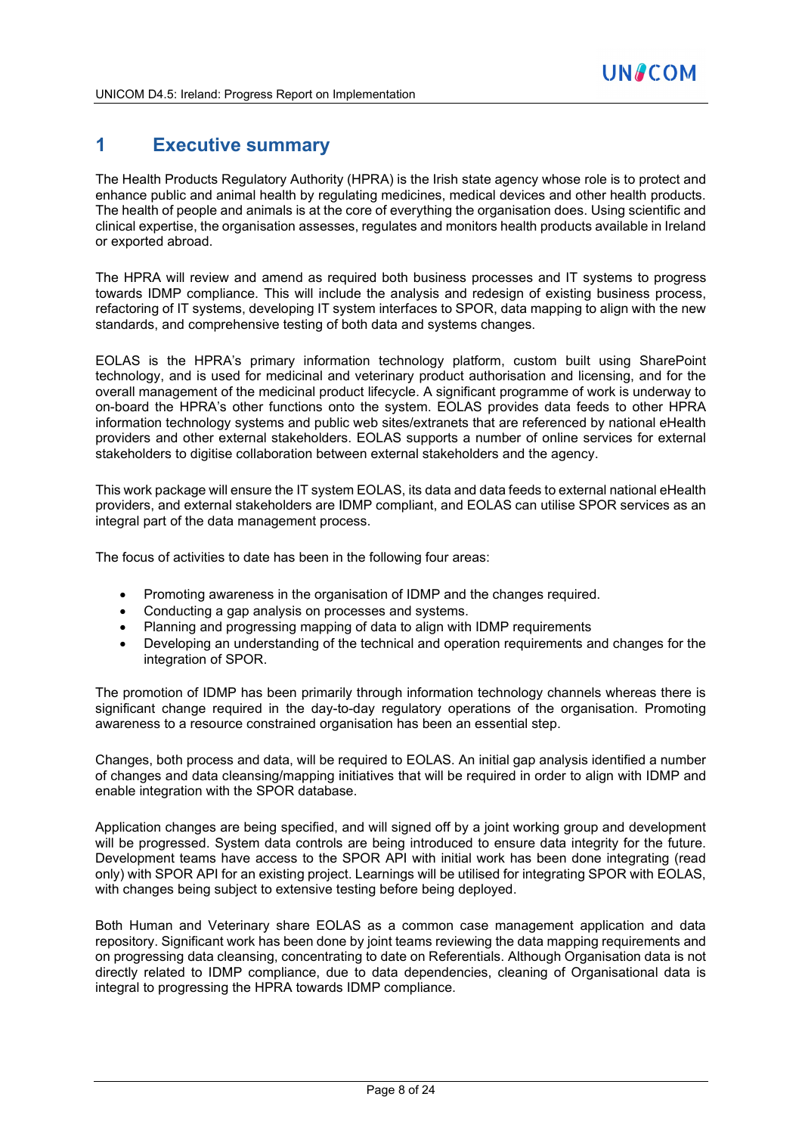# **1 Executive summary**

The Health Products Regulatory Authority (HPRA) is the Irish state agency whose role is to protect and enhance public and animal health by regulating medicines, medical devices and other health products. The health of people and animals is at the core of everything the organisation does. Using scientific and clinical expertise, the organisation assesses, regulates and monitors health products available in Ireland or exported abroad.

The HPRA will review and amend as required both business processes and IT systems to progress towards IDMP compliance. This will include the analysis and redesign of existing business process, refactoring of IT systems, developing IT system interfaces to SPOR, data mapping to align with the new standards, and comprehensive testing of both data and systems changes.

EOLAS is the HPRA's primary information technology platform, custom built using SharePoint technology, and is used for medicinal and veterinary product authorisation and licensing, and for the overall management of the medicinal product lifecycle. A significant programme of work is underway to on-board the HPRA's other functions onto the system. EOLAS provides data feeds to other HPRA information technology systems and public web sites/extranets that are referenced by national eHealth providers and other external stakeholders. EOLAS supports a number of online services for external stakeholders to digitise collaboration between external stakeholders and the agency.

This work package will ensure the IT system EOLAS, its data and data feeds to external national eHealth providers, and external stakeholders are IDMP compliant, and EOLAS can utilise SPOR services as an integral part of the data management process.

The focus of activities to date has been in the following four areas:

- Promoting awareness in the organisation of IDMP and the changes required.
- Conducting a gap analysis on processes and systems.
- Planning and progressing mapping of data to align with IDMP requirements
- Developing an understanding of the technical and operation requirements and changes for the integration of SPOR.

The promotion of IDMP has been primarily through information technology channels whereas there is significant change required in the day-to-day regulatory operations of the organisation. Promoting awareness to a resource constrained organisation has been an essential step.

Changes, both process and data, will be required to EOLAS. An initial gap analysis identified a number of changes and data cleansing/mapping initiatives that will be required in order to align with IDMP and enable integration with the SPOR database.

Application changes are being specified, and will signed off by a joint working group and development will be progressed. System data controls are being introduced to ensure data integrity for the future. Development teams have access to the SPOR API with initial work has been done integrating (read only) with SPOR API for an existing project. Learnings will be utilised for integrating SPOR with EOLAS, with changes being subject to extensive testing before being deployed.

Both Human and Veterinary share EOLAS as a common case management application and data repository. Significant work has been done by joint teams reviewing the data mapping requirements and on progressing data cleansing, concentrating to date on Referentials. Although Organisation data is not directly related to IDMP compliance, due to data dependencies, cleaning of Organisational data is integral to progressing the HPRA towards IDMP compliance.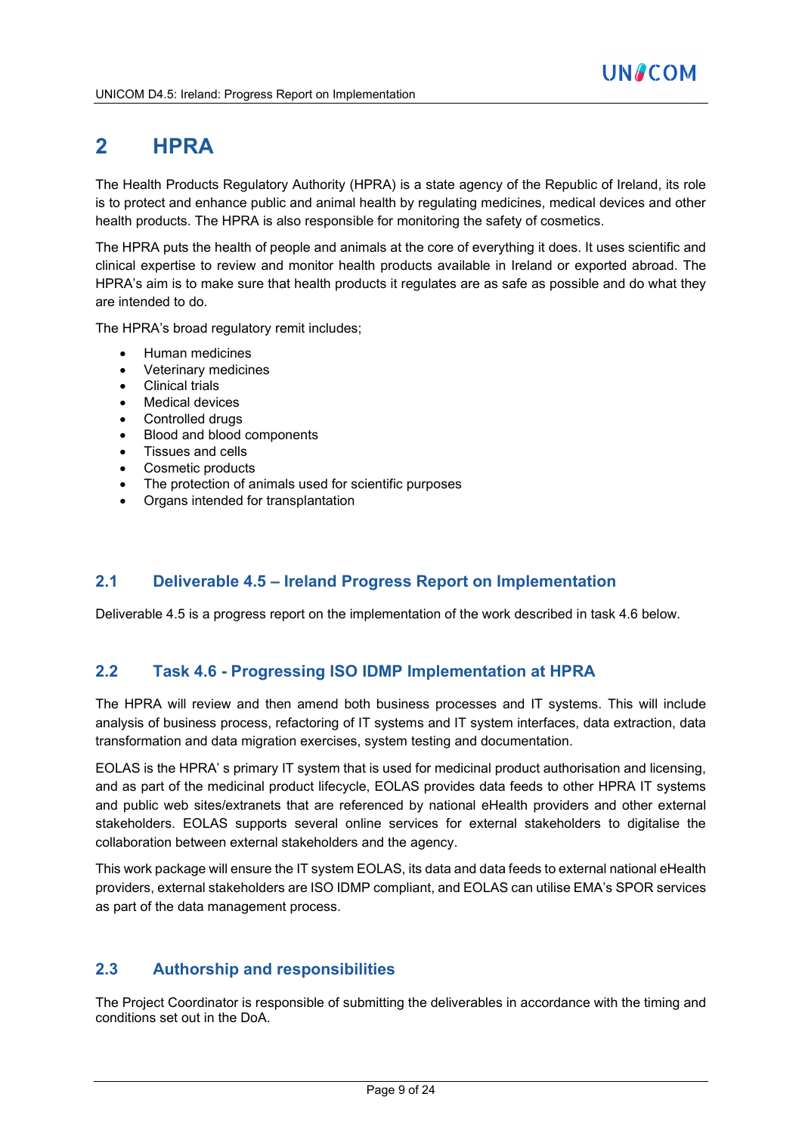# **2 HPRA**

The Health Products Regulatory Authority (HPRA) is a state agency of the Republic of Ireland, its role is to protect and enhance public and animal health by regulating medicines, medical devices and other health products. The HPRA is also responsible for monitoring the safety of cosmetics.

The HPRA puts the health of people and animals at the core of everything it does. It uses scientific and clinical expertise to review and monitor health products available in Ireland or exported abroad. The HPRA's aim is to make sure that health products it regulates are as safe as possible and do what they are intended to do.

The HPRA's broad regulatory remit includes;

- Human medicines
- Veterinary medicines
- Clinical trials
- Medical devices
- Controlled drugs
- Blood and blood components
- Tissues and cells
- Cosmetic products
- The protection of animals used for scientific purposes
- Organs intended for transplantation

## **2.1 Deliverable 4.5 – Ireland Progress Report on Implementation**

Deliverable 4.5 is a progress report on the implementation of the work described in task 4.6 below.

## **2.2 Task 4.6 - Progressing ISO IDMP Implementation at HPRA**

The HPRA will review and then amend both business processes and IT systems. This will include analysis of business process, refactoring of IT systems and IT system interfaces, data extraction, data transformation and data migration exercises, system testing and documentation.

EOLAS is the HPRA' s primary IT system that is used for medicinal product authorisation and licensing, and as part of the medicinal product lifecycle, EOLAS provides data feeds to other HPRA IT systems and public web sites/extranets that are referenced by national eHealth providers and other external stakeholders. EOLAS supports several online services for external stakeholders to digitalise the collaboration between external stakeholders and the agency.

This work package will ensure the IT system EOLAS, its data and data feeds to external national eHealth providers, external stakeholders are ISO IDMP compliant, and EOLAS can utilise EMA's SPOR services as part of the data management process.

# **2.3 Authorship and responsibilities**

The Project Coordinator is responsible of submitting the deliverables in accordance with the timing and conditions set out in the DoA.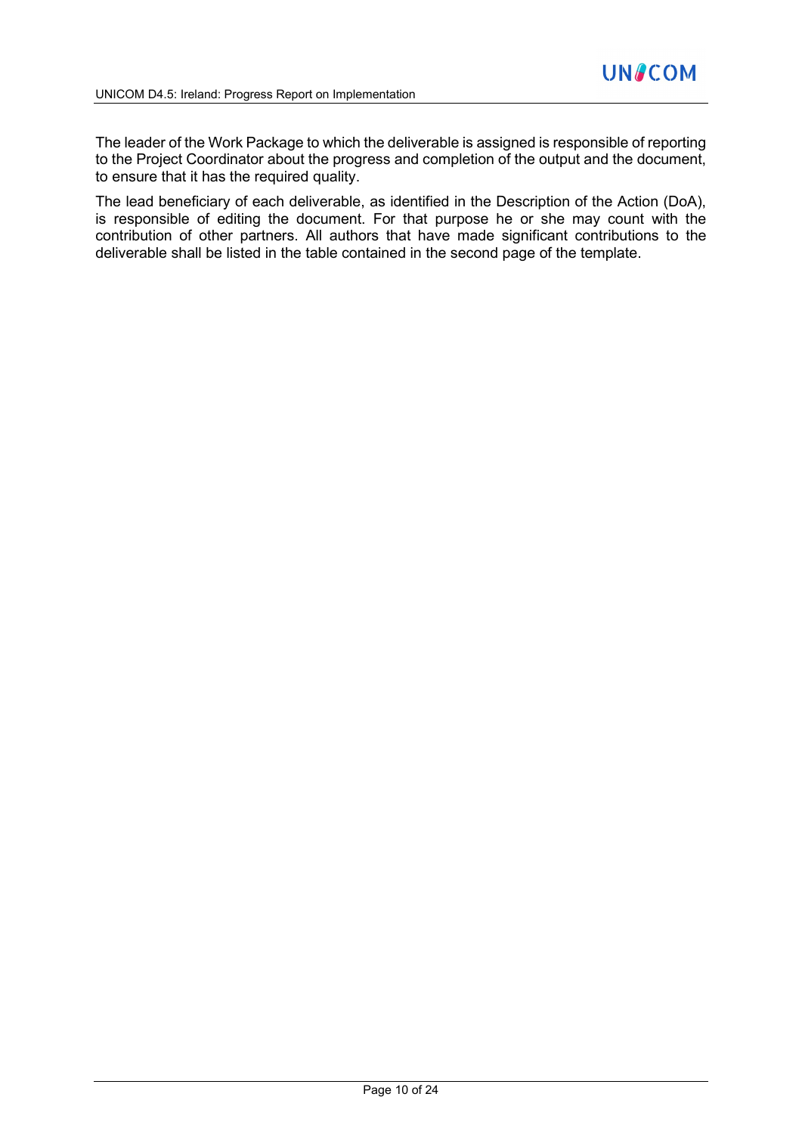The leader of the Work Package to which the deliverable is assigned is responsible of reporting to the Project Coordinator about the progress and completion of the output and the document, to ensure that it has the required quality.

The lead beneficiary of each deliverable, as identified in the Description of the Action (DoA), is responsible of editing the document. For that purpose he or she may count with the contribution of other partners. All authors that have made significant contributions to the deliverable shall be listed in the table contained in the second page of the template.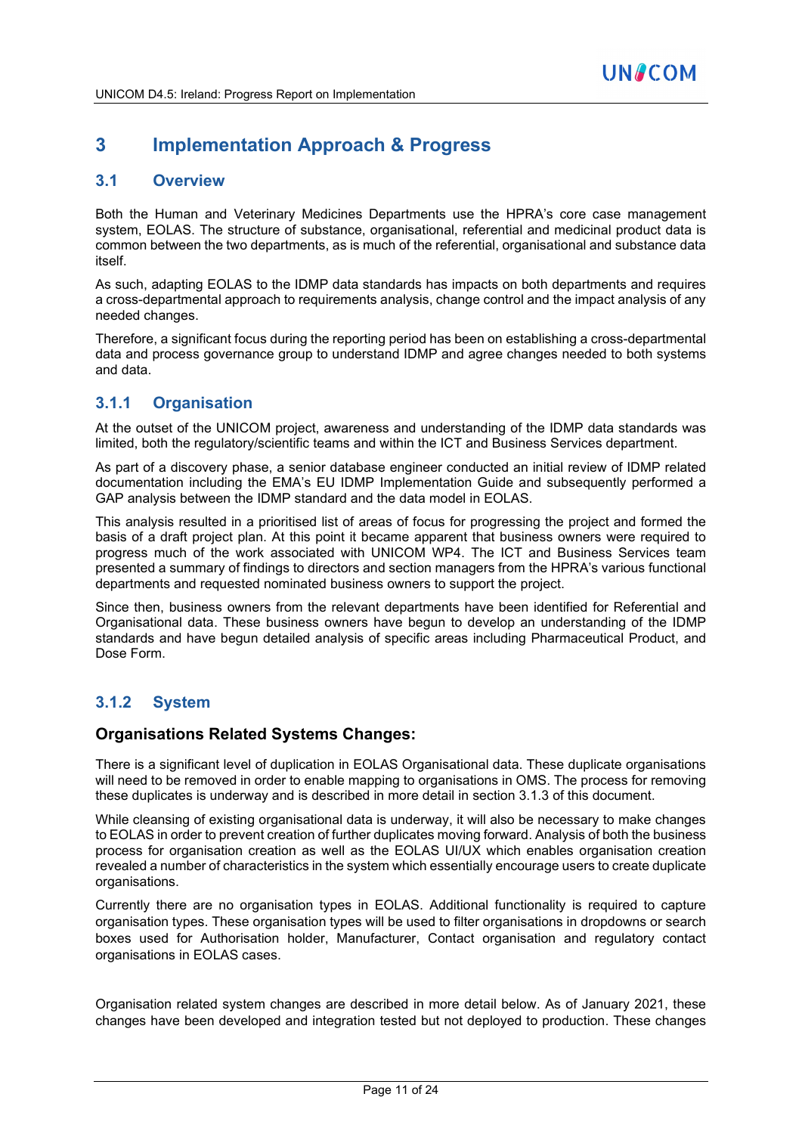# **3 Implementation Approach & Progress**

#### **3.1 Overview**

Both the Human and Veterinary Medicines Departments use the HPRA's core case management system, EOLAS. The structure of substance, organisational, referential and medicinal product data is common between the two departments, as is much of the referential, organisational and substance data itself.

As such, adapting EOLAS to the IDMP data standards has impacts on both departments and requires a cross-departmental approach to requirements analysis, change control and the impact analysis of any needed changes.

Therefore, a significant focus during the reporting period has been on establishing a cross-departmental data and process governance group to understand IDMP and agree changes needed to both systems and data.

## **3.1.1 Organisation**

At the outset of the UNICOM project, awareness and understanding of the IDMP data standards was limited, both the regulatory/scientific teams and within the ICT and Business Services department.

As part of a discovery phase, a senior database engineer conducted an initial review of IDMP related documentation including the EMA's EU IDMP Implementation Guide and subsequently performed a GAP analysis between the IDMP standard and the data model in EOLAS.

This analysis resulted in a prioritised list of areas of focus for progressing the project and formed the basis of a draft project plan. At this point it became apparent that business owners were required to progress much of the work associated with UNICOM WP4. The ICT and Business Services team presented a summary of findings to directors and section managers from the HPRA's various functional departments and requested nominated business owners to support the project.

Since then, business owners from the relevant departments have been identified for Referential and Organisational data. These business owners have begun to develop an understanding of the IDMP standards and have begun detailed analysis of specific areas including Pharmaceutical Product, and Dose Form.

# **3.1.2 System**

#### **Organisations Related Systems Changes:**

There is a significant level of duplication in EOLAS Organisational data. These duplicate organisations will need to be removed in order to enable mapping to organisations in OMS. The process for removing these duplicates is underway and is described in more detail in section 3.1.3 of this document.

While cleansing of existing organisational data is underway, it will also be necessary to make changes to EOLAS in order to prevent creation of further duplicates moving forward. Analysis of both the business process for organisation creation as well as the EOLAS UI/UX which enables organisation creation revealed a number of characteristics in the system which essentially encourage users to create duplicate organisations.

Currently there are no organisation types in EOLAS. Additional functionality is required to capture organisation types. These organisation types will be used to filter organisations in dropdowns or search boxes used for Authorisation holder, Manufacturer, Contact organisation and regulatory contact organisations in EOLAS cases.

Organisation related system changes are described in more detail below. As of January 2021, these changes have been developed and integration tested but not deployed to production. These changes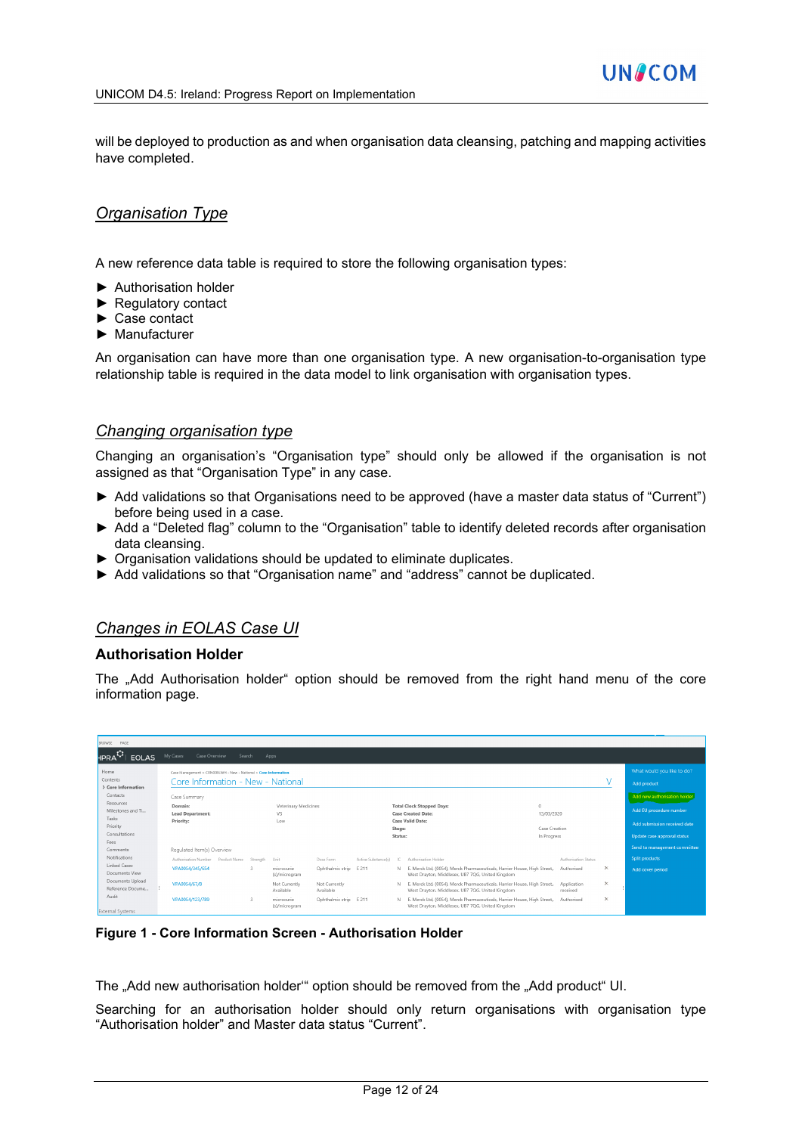will be deployed to production as and when organisation data cleansing, patching and mapping activities have completed.

#### *Organisation Type*

A new reference data table is required to store the following organisation types:

- ► Authorisation holder
- ► Regulatory contact
- ► Case contact
- ► Manufacturer

An organisation can have more than one organisation type. A new organisation-to-organisation type relationship table is required in the data model to link organisation with organisation types.

#### *Changing organisation type*

Changing an organisation's "Organisation type" should only be allowed if the organisation is not assigned as that "Organisation Type" in any case.

- ► Add validations so that Organisations need to be approved (have a master data status of "Current") before being used in a case.
- ► Add a "Deleted flag" column to the "Organisation" table to identify deleted records after organisation data cleansing.
- ► Organisation validations should be updated to eliminate duplicates.
- ► Add validations so that "Organisation name" and "address" cannot be duplicated.

#### *Changes in EOLAS Case UI*

#### **Authorisation Holder**

The "Add Authorisation holder" option should be removed from the right hand menu of the core information page.

| BROWSE PAGE                          |                                                                 |        |               |                             |                            |                     |                   |                                                                                                                               |                              |                         |          |                              |
|--------------------------------------|-----------------------------------------------------------------|--------|---------------|-----------------------------|----------------------------|---------------------|-------------------|-------------------------------------------------------------------------------------------------------------------------------|------------------------------|-------------------------|----------|------------------------------|
| <b>EOLAS</b><br><b>HPRA</b>          | Case Overview<br>My Cases                                       | Search |               | Apps                        |                            |                     |                   |                                                                                                                               |                              |                         |          |                              |
| Home                                 | Case Management > CRN009LWH - New - National > Core Information |        |               |                             |                            |                     |                   |                                                                                                                               |                              |                         |          | What would you like to do?   |
| Contents<br>> Core Information       | Core Information - New - National                               |        |               |                             |                            |                     |                   |                                                                                                                               |                              |                         |          | Add product                  |
| Contacts                             | Case Summary                                                    |        |               |                             |                            |                     |                   |                                                                                                                               |                              |                         |          | Add new authorisation holder |
| Resources<br>Milestones and Ti       | Domain:<br><b>Lead Department:</b>                              |        |               | Veterinary Medicines<br>VS  |                            |                     |                   | <b>Total Clock Stopped Days:</b><br>Case Created Date:                                                                        | $\Omega$<br>13/03/2020       |                         |          | Add EU procedure number      |
| Tasks<br>Priority                    | Priority:                                                       |        |               | Low                         |                            |                     |                   | <b>Case Valid Date:</b>                                                                                                       |                              |                         |          | Add submission received date |
| Consultations                        |                                                                 |        |               |                             |                            |                     | Stage:<br>Status: |                                                                                                                               | Case Creation<br>In Progress |                         |          | Update case approval status  |
| Fees<br>Comments                     | Requlated Item(s) Overview                                      |        |               |                             |                            |                     |                   |                                                                                                                               |                              |                         |          | Send to management committee |
| <b>Notifications</b>                 | Authorisation Number Product Name                               |        | Strength      | Unit                        | Dose Form                  | Active Substance(s) | IC.               | Authorisation Holder                                                                                                          |                              | Authorisation Status    |          | <b>Split products</b>        |
| Linked Cases<br>Documents View       | VPA0054/345/654                                                 |        | $\mathcal{R}$ | microcurie<br>(s)/microgram | Ophthalmic strip E 211     |                     | N.                | E. Merck Ltd. (0054). Merck Pharmaceuticals. Harrier House. High Street.<br>West Drayton, Middlesex, UB7 7QG, United Kingdom  |                              | Authorised              | $\times$ | Add cover period             |
| Documents Upload<br>Reference Docume | VPA0054/67/8                                                    |        |               | Not Currently<br>Available  | Not Currently<br>Available |                     | N.                | E. Merck Ltd. (0054). Merck Pharmaceuticals. Harrier House. High Street.<br>West Drayton, Middlesex, UB7 7QG, United Kingdom  |                              | Application<br>received | $\times$ |                              |
| Audit<br>External Systems            | VPA0054/123/789                                                 |        | $\mathbb{R}$  | microcurie<br>(s)/microgram | Ophthalmic strip E 211     |                     | N.                | E. Merck Ltd, (0054), Merck Pharmaceuticals, Harrier House, High Street,,<br>West Drayton, Middlesex, UB7 7QG, United Kingdom |                              | Authorised              | $\times$ |                              |

**Figure 1 - Core Information Screen - Authorisation Holder**

The "Add new authorisation holder" option should be removed from the "Add product" UI.

Searching for an authorisation holder should only return organisations with organisation type "Authorisation holder" and Master data status "Current".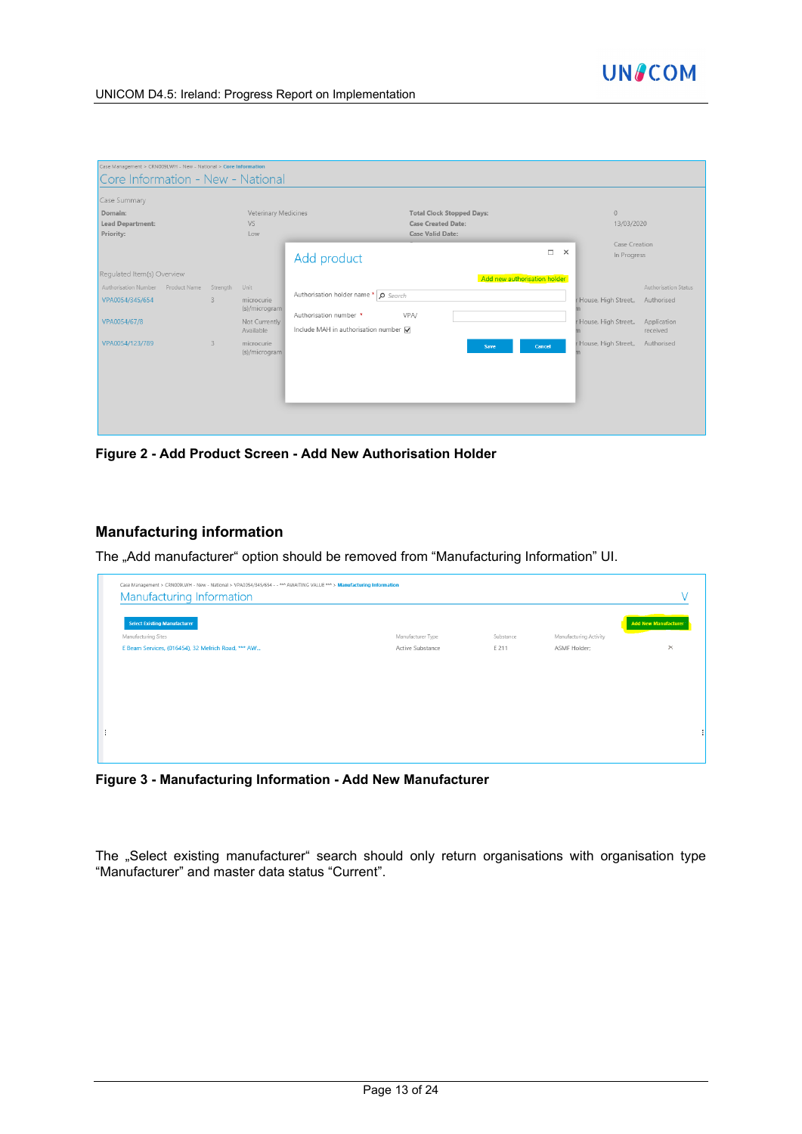

| Core Information - New - National<br>Case Summary |              |                                   |                                                               |                    |                              |                      |
|---------------------------------------------------|--------------|-----------------------------------|---------------------------------------------------------------|--------------------|------------------------------|----------------------|
| Domain:<br><b>Lead Department:</b>                |              | Veterinary Medicines<br><b>VS</b> | <b>Total Clock Stopped Days:</b><br><b>Case Created Date:</b> |                    | $\overline{0}$<br>13/03/2020 |                      |
| Priority:                                         |              | Low                               | <b>Case Valid Date:</b>                                       |                    |                              |                      |
|                                                   |              |                                   | Add product                                                   | $\Box$<br>$\times$ | Case Creation<br>In Progress |                      |
| Requlated Item(s) Overview                        |              |                                   | Add new authorisation holder                                  |                    |                              |                      |
| Authorisation Number Product Name Strength        |              | Unit                              |                                                               |                    |                              | Authorisation Status |
| VPA0054/345/654                                   | $3 -$        | microcurie                        | Authorisation holder name *   O Search                        |                    | House, High Street,          | Authorised           |
| VPA0054/67/8                                      |              | (s)/microgram<br>Not Currently    | Authorisation number *<br>VPA/                                |                    | House, High Street,,         | Application          |
|                                                   |              | Available                         | Include MAH in authorisation number V                         |                    |                              | received             |
| VPA0054/123/789                                   | $\mathbf{3}$ | microcurie<br>(s)/microgram       | Cancel<br>Save                                                |                    | House, High Street,,         | Authorised           |

**Figure 2 - Add Product Screen - Add New Authorisation Holder**

#### **Manufacturing information**

The "Add manufacturer" option should be removed from "Manufacturing Information" UI.

| Manufacturer Type | Substance | Manufacturing Activity | <u> The Company of the Company of the Company of the Company of the Company of the Company of the Company of the Company of the Company of the Company of the Company of the Company of the Company of the Company of the Compan</u> |
|-------------------|-----------|------------------------|--------------------------------------------------------------------------------------------------------------------------------------------------------------------------------------------------------------------------------------|
|                   |           |                        |                                                                                                                                                                                                                                      |
| Active Substance  | E 211     | ASMF Holder;           | $\times$                                                                                                                                                                                                                             |
|                   |           |                        |                                                                                                                                                                                                                                      |
|                   |           |                        |                                                                                                                                                                                                                                      |
|                   |           |                        |                                                                                                                                                                                                                                      |
|                   |           |                        |                                                                                                                                                                                                                                      |
|                   |           |                        |                                                                                                                                                                                                                                      |
|                   |           |                        |                                                                                                                                                                                                                                      |
|                   |           |                        |                                                                                                                                                                                                                                      |

**Figure 3 - Manufacturing Information - Add New Manufacturer**

The "Select existing manufacturer" search should only return organisations with organisation type "Manufacturer" and master data status "Current".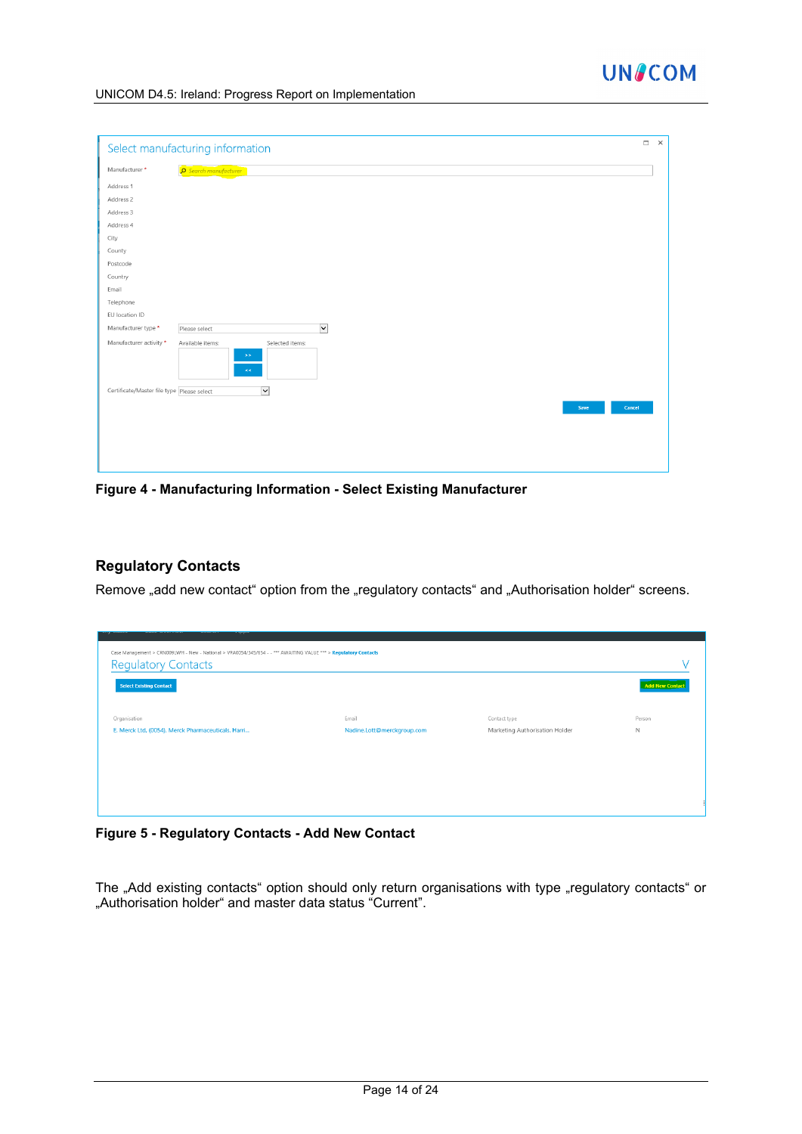

|                                            | Select manufacturing information                                  |                | $\Box$ |
|--------------------------------------------|-------------------------------------------------------------------|----------------|--------|
| Manufacturer *                             | Search manufacturer                                               |                |        |
| Address 1                                  |                                                                   |                |        |
| Address 2                                  |                                                                   |                |        |
| Address 3                                  |                                                                   |                |        |
| Address 4                                  |                                                                   |                |        |
| City                                       |                                                                   |                |        |
| County                                     |                                                                   |                |        |
| Postcode                                   |                                                                   |                |        |
| Country                                    |                                                                   |                |        |
| Email                                      |                                                                   |                |        |
| Telephone                                  |                                                                   |                |        |
| EU location ID                             |                                                                   |                |        |
| Manufacturer type *                        | $\blacktriangledown$<br>Please select                             |                |        |
| Manufacturer activity *                    | Available items:<br>Selected items:<br>$\gg\gtrsim$<br>$\leq$ $<$ |                |        |
| Certificate/Master file type Please select | $\vert \mathbf{v} \vert$                                          |                |        |
|                                            |                                                                   | Cancel<br>Save |        |
|                                            |                                                                   |                |        |
|                                            |                                                                   |                |        |
|                                            |                                                                   |                |        |
|                                            |                                                                   |                |        |
|                                            |                                                                   |                |        |

**Figure 4 - Manufacturing Information - Select Existing Manufacturer**

#### **Regulatory Contacts**

Remove "add new contact" option from the "regulatory contacts" and "Authorisation holder" screens.

| Case Management > CRN009LWH - New - National > VPA0054/345/654 - - *** AWAITING VALUE *** > Regulatory Contacts<br><b>Regulatory Contacts</b><br><b>Select Existing Contact</b> |                                     |                                                | <b>Add New Contact</b> |
|---------------------------------------------------------------------------------------------------------------------------------------------------------------------------------|-------------------------------------|------------------------------------------------|------------------------|
| Organisation<br>E. Merck Ltd, (0054), Merck Pharmaceuticals, Harri                                                                                                              | Email<br>Nadine.Lott@merckgroup.com | Contact type<br>Marketing Authorisation Holder | Person<br>$\mathbb N$  |
|                                                                                                                                                                                 |                                     |                                                |                        |
|                                                                                                                                                                                 |                                     |                                                |                        |

**Figure 5 - Regulatory Contacts - Add New Contact**

The "Add existing contacts" option should only return organisations with type "regulatory contacts" or "Authorisation holder" and master data status "Current".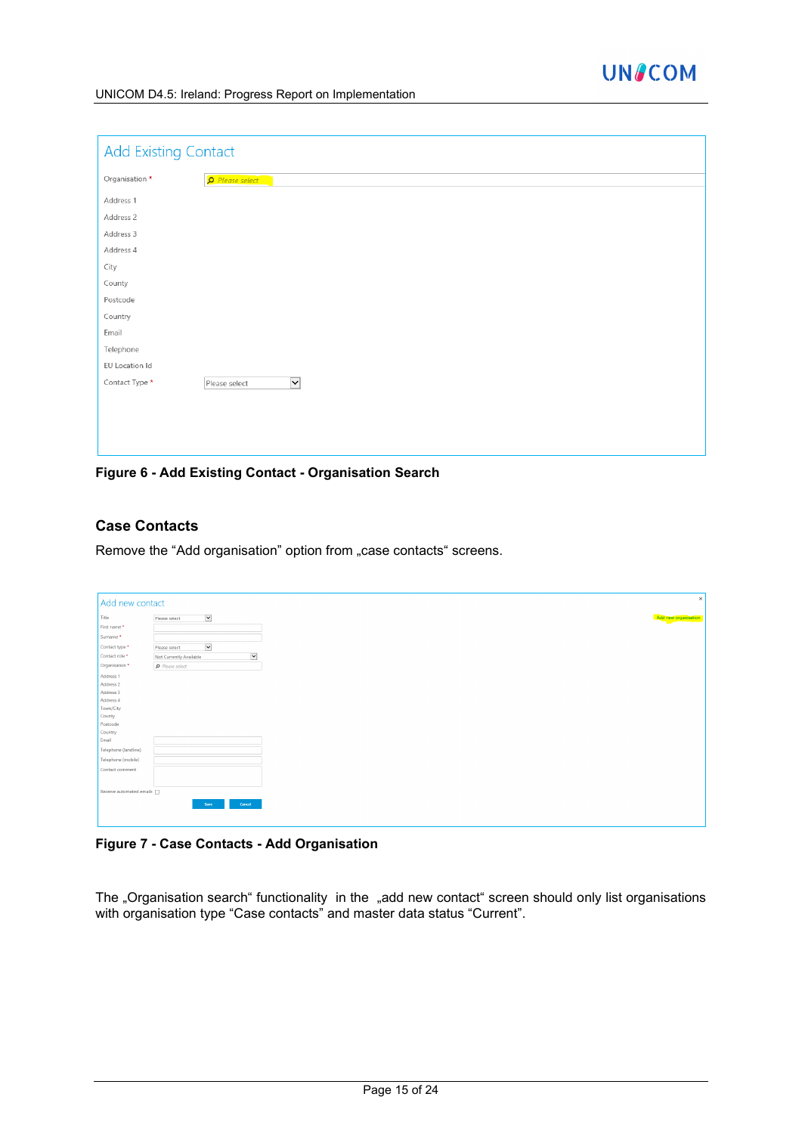

| <b>Add Existing Contact</b> |                                          |
|-----------------------------|------------------------------------------|
| Organisation *              | Please select                            |
| Address 1                   |                                          |
| Address 2                   |                                          |
| Address 3                   |                                          |
| Address 4                   |                                          |
| City                        |                                          |
| County                      |                                          |
| Postcode                    |                                          |
| Country                     |                                          |
| Email                       |                                          |
| Telephone                   |                                          |
| EU Location Id              |                                          |
| Contact Type *              | $\overline{\mathsf{v}}$<br>Please select |
|                             |                                          |
|                             |                                          |
|                             |                                          |
|                             |                                          |

**Figure 6 - Add Existing Contact - Organisation Search**

#### **Case Contacts**

Remove the "Add organisation" option from "case contacts" screens.

| Add new contact          |                                        |                      |
|--------------------------|----------------------------------------|----------------------|
| Title                    | $\breve{ }$<br>Please select           | Add new organisation |
| First name *             |                                        |                      |
| Surname*                 |                                        |                      |
| Contact type *           | $\breve{ }$<br>Please select           |                      |
| Contact role *           | $\breve{ }$<br>Not Currently Available |                      |
| Organisation *           | $\rho$ Please select                   |                      |
|                          |                                        |                      |
| Address 1                |                                        |                      |
| Address 2                |                                        |                      |
| Address 3<br>Address 4   |                                        |                      |
| Town/City                |                                        |                      |
| County                   |                                        |                      |
| Postcode                 |                                        |                      |
| Country                  |                                        |                      |
| Email                    |                                        |                      |
| Telephone (landline)     |                                        |                      |
| Telephone (mobile)       |                                        |                      |
|                          |                                        |                      |
| Contact comment          |                                        |                      |
|                          |                                        |                      |
| Receive automated emails |                                        |                      |
|                          |                                        |                      |
|                          | Cancel<br>Save                         |                      |
|                          |                                        |                      |
|                          |                                        |                      |

#### **Figure 7 - Case Contacts - Add Organisation**

The "Organisation search" functionality in the "add new contact" screen should only list organisations with organisation type "Case contacts" and master data status "Current".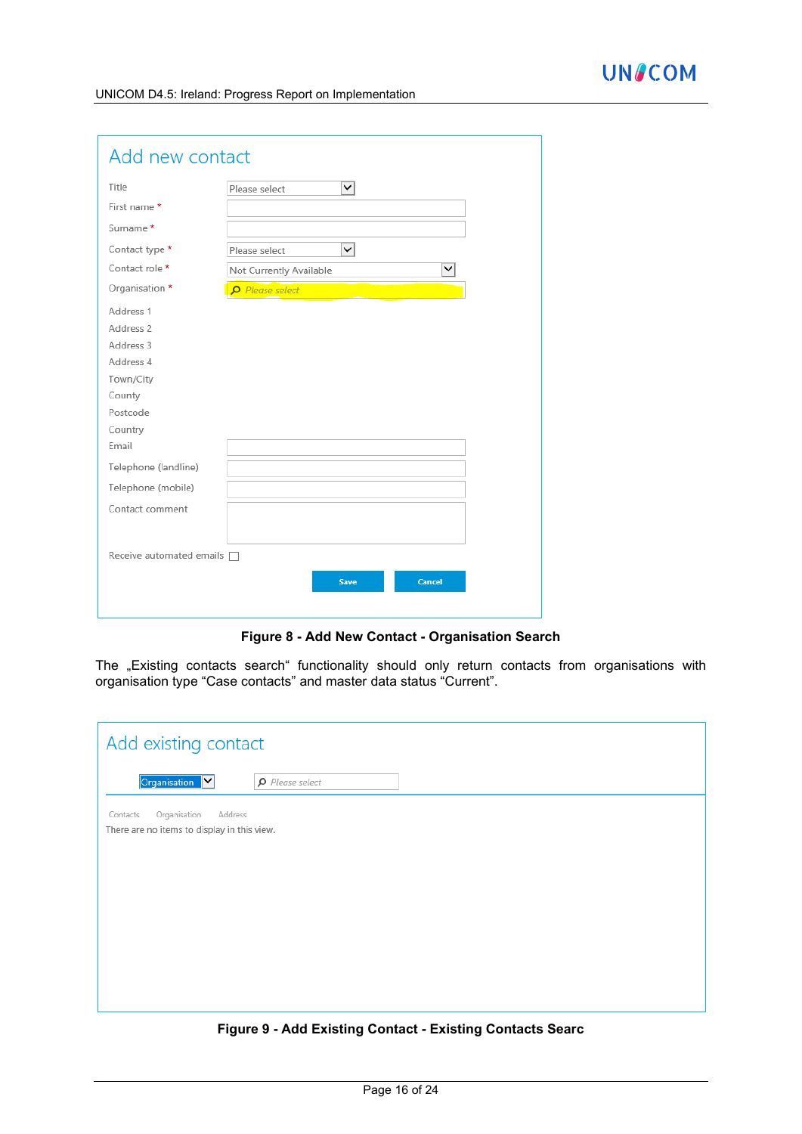| Add new contact                 |                                         |
|---------------------------------|-----------------------------------------|
| Title                           | $\checkmark$<br>Please select           |
| First name*                     |                                         |
| Surname *                       |                                         |
| Contact type *                  | ◡<br>Please select                      |
| Contact role *                  | $\checkmark$<br>Not Currently Available |
| Organisation *                  | Please select                           |
| Address 1                       |                                         |
| Address <sub>2</sub>            |                                         |
| Address 3                       |                                         |
| Address 4                       |                                         |
| Town/City                       |                                         |
| County                          |                                         |
| Postcode                        |                                         |
| Country                         |                                         |
| Email                           |                                         |
| Telephone (landline)            |                                         |
| Telephone (mobile)              |                                         |
| Contact comment                 |                                         |
|                                 |                                         |
| Receive automated emails $\Box$ |                                         |
|                                 | <b>Cancel</b><br><b>Save</b>            |
|                                 |                                         |

**Figure 8 - Add New Contact - Organisation Search**

The "Existing contacts search" functionality should only return contacts from organisations with organisation type "Case contacts" and master data status "Current".

| Add existing contact                                                               |                      |  |
|------------------------------------------------------------------------------------|----------------------|--|
| Organisation Y                                                                     | $\rho$ Please select |  |
| Organisation<br>Address<br>Contacts<br>There are no items to display in this view. |                      |  |

**Figure 9 - Add Existing Contact - Existing Contacts Searc**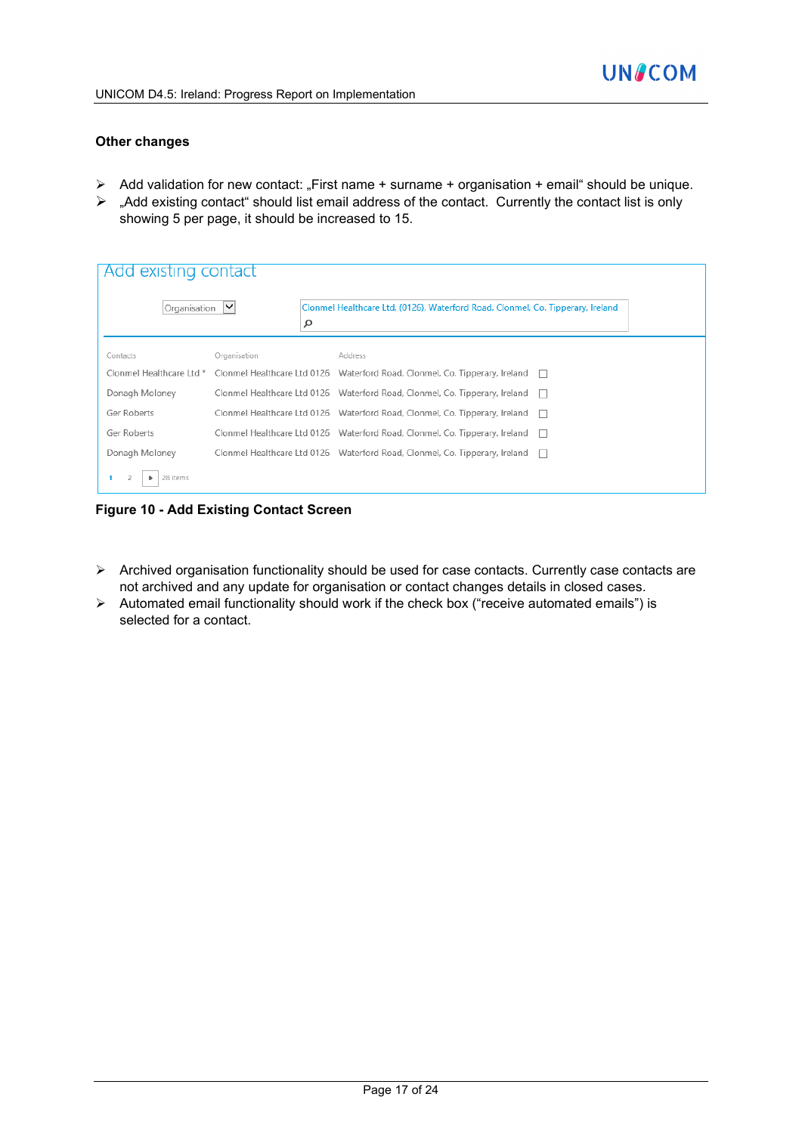#### **Other changes**

- $\triangleright$  Add validation for new contact: "First name + surname + organisation + email" should be unique.
- $\triangleright$  "Add existing contact" should list email address of the contact. Currently the contact list is only showing 5 per page, it should be increased to 15.

| Add existing contact |                   |                                                                                                      |              |
|----------------------|-------------------|------------------------------------------------------------------------------------------------------|--------------|
| Organisation         | $\checkmark$<br>α | Clonmel Healthcare Ltd, (0126), Waterford Road, Clonmel, Co. Tipperary, Ireland                      |              |
| Contacts             | Organisation      | Address                                                                                              |              |
|                      |                   | Clonmel Healthcare Ltd * Clonmel Healthcare Ltd 0126 Waterford Road, Clonmel, Co. Tipperary, Ireland |              |
| Donagh Moloney       |                   | Clonmel Healthcare Ltd 0126 Waterford Road, Clonmel, Co. Tipperary, Ireland □                        |              |
| Ger Roberts          |                   | Clonmel Healthcare Ltd 0126  Waterford Road, Clonmel, Co. Tipperary, Ireland                         |              |
| Ger Roberts          |                   | Clonmel Healthcare Ltd 0126 Waterford Road, Clonmel, Co. Tipperary, Ireland                          |              |
| Donagh Moloney       |                   | Clonmel Healthcare Ltd 0126 Waterford Road, Clonmel, Co. Tipperary, Ireland                          | $\mathbf{1}$ |
| 28 items             |                   |                                                                                                      |              |

**Figure 10 - Add Existing Contact Screen**

- $\triangleright$  Archived organisation functionality should be used for case contacts. Currently case contacts are not archived and any update for organisation or contact changes details in closed cases.
- $\triangleright$  Automated email functionality should work if the check box ("receive automated emails") is selected for a contact.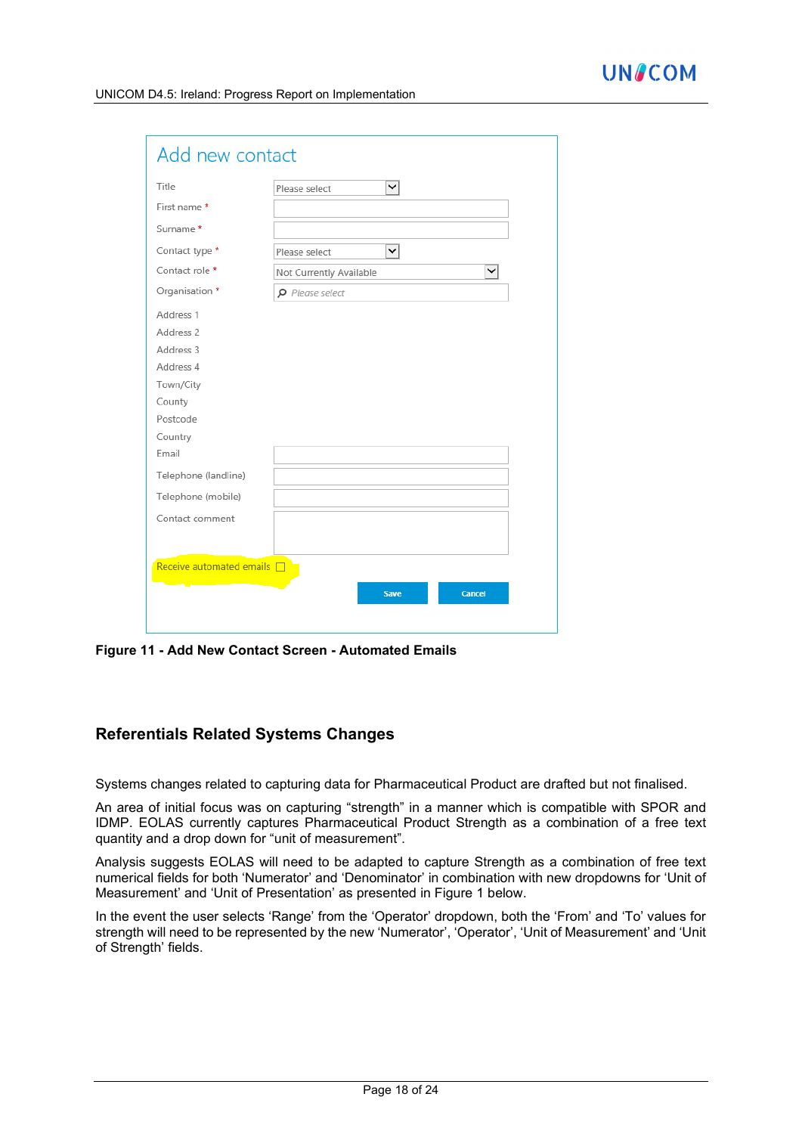| Title                        | ◡<br>Please select           |
|------------------------------|------------------------------|
| First name *                 |                              |
| Surname *                    |                              |
| Contact type *               | ◡<br>Please select           |
| Contact role *               | ◡<br>Not Currently Available |
| Organisation *               | $\rho$ Please select         |
| Address 1                    |                              |
| Address 2                    |                              |
| Address 3                    |                              |
| Address 4                    |                              |
| Town/City                    |                              |
| County                       |                              |
| Postcode                     |                              |
| Country                      |                              |
| Email                        |                              |
| Telephone (landline)         |                              |
| Telephone (mobile)           |                              |
| Contact comment              |                              |
|                              |                              |
|                              |                              |
| Receive automated emails [3] |                              |

**Figure 11 - Add New Contact Screen - Automated Emails**

## **Referentials Related Systems Changes**

Systems changes related to capturing data for Pharmaceutical Product are drafted but not finalised.

An area of initial focus was on capturing "strength" in a manner which is compatible with SPOR and IDMP. EOLAS currently captures Pharmaceutical Product Strength as a combination of a free text quantity and a drop down for "unit of measurement".

Analysis suggests EOLAS will need to be adapted to capture Strength as a combination of free text numerical fields for both 'Numerator' and 'Denominator' in combination with new dropdowns for 'Unit of Measurement' and 'Unit of Presentation' as presented in Figure 1 below.

In the event the user selects 'Range' from the 'Operator' dropdown, both the 'From' and 'To' values for strength will need to be represented by the new 'Numerator', 'Operator', 'Unit of Measurement' and 'Unit of Strength' fields.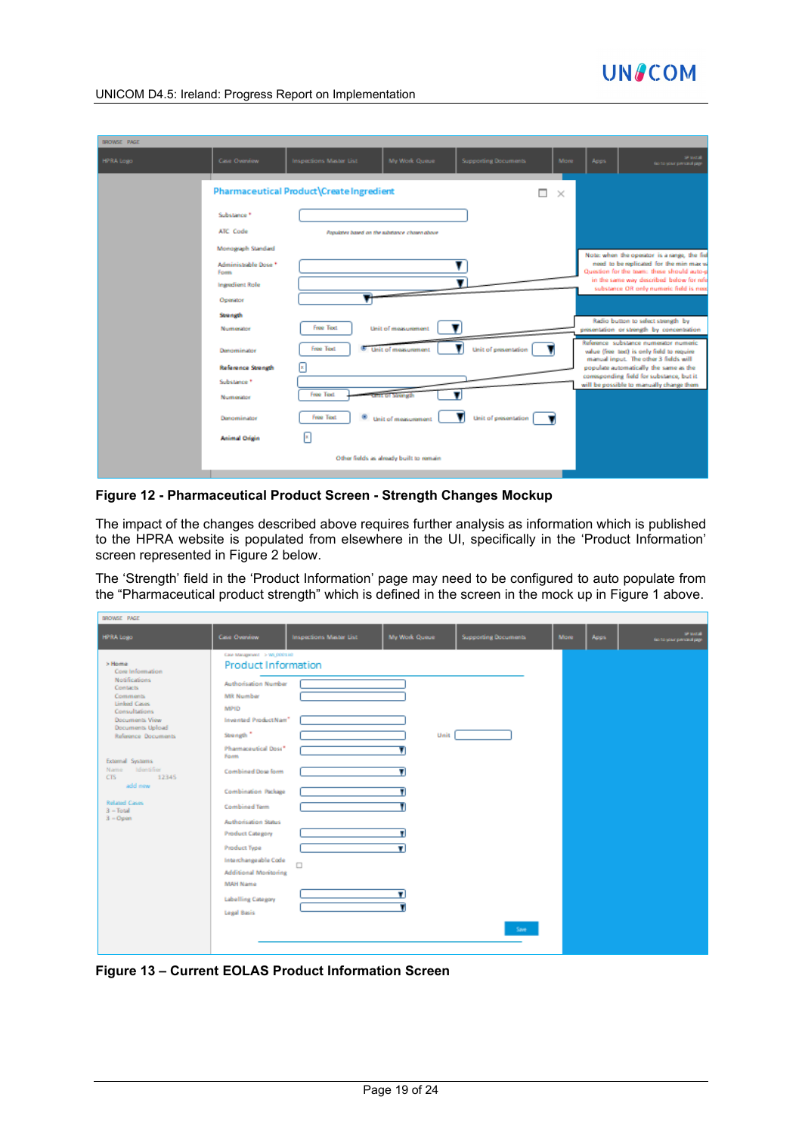

| BROWSE PAGE |                                                                                                 |                                          |                                               |                             |          |      |                                                                                                                                                                                                                                                               |
|-------------|-------------------------------------------------------------------------------------------------|------------------------------------------|-----------------------------------------------|-----------------------------|----------|------|---------------------------------------------------------------------------------------------------------------------------------------------------------------------------------------------------------------------------------------------------------------|
| HPRA Logo   | Case Overview                                                                                   | Inspections Master List                  | My Work Queue                                 | <b>Supporting Documents</b> | More     | Apps | SP systod<br>tion to your personal page                                                                                                                                                                                                                       |
|             |                                                                                                 | Pharmaceutical Product\Create Ingredient |                                               | ⊓                           | $\times$ |      |                                                                                                                                                                                                                                                               |
|             | Substance <sup>+</sup><br>ATC Code                                                              |                                          | Populates based on the substance chosen above |                             |          |      |                                                                                                                                                                                                                                                               |
|             | Monograph Standard<br>Administrable Dose *<br><b>Form</b><br><b>Ingradiant Role</b><br>Operator |                                          |                                               |                             |          |      | Note: when the operator is a range, the fiel<br>need to be replicated for the min max w<br>Question for the team: these should auto-p<br>in the same way described below for refe<br>substance OR only numeric field is next                                  |
|             | Strength<br>Numerator                                                                           | Free Text.                               | Unit of measurement                           |                             |          |      | Radio button to select strength by<br>presentation or strength by concentration                                                                                                                                                                               |
|             | Denominator<br><b>Reference Strength</b><br>Substance *                                         | <b>Free Text</b><br>×                    | Unit of measurement                           | Unit of presentation        |          |      | Reference substance numerator numeric<br>value (free text) is only field to require<br>manual input. The other 3 fields will<br>populate automatically the same as the<br>comsponding field for substance, but it<br>will be possible to manually change them |
|             | Numerator<br>Denominator                                                                        | Free Text.<br><b>Free Text</b><br>۰      | t of Strength<br>Unit of measurement.         | Unit of presentation        |          |      |                                                                                                                                                                                                                                                               |
|             | <b>Animal Origin</b>                                                                            | [x                                       |                                               |                             |          |      |                                                                                                                                                                                                                                                               |
|             |                                                                                                 |                                          | Other fields as already built to remain       |                             |          |      |                                                                                                                                                                                                                                                               |

**Figure 12 - Pharmaceutical Product Screen - Strength Changes Mockup**

The impact of the changes described above requires further analysis as information which is published to the HPRA website is populated from elsewhere in the UI, specifically in the 'Product Information' screen represented in Figure 2 below.

The 'Strength' field in the 'Product Information' page may need to be configured to auto populate from the "Pharmaceutical product strength" which is defined in the screen in the mock up in Figure 1 above.

| BROWSE PAGE                                                                                                                                                                                                                                                                                            |                                                                                                                                                                                                                                                                                                                                                                                                                                                                |                         |               |                             |             |       |                                     |
|--------------------------------------------------------------------------------------------------------------------------------------------------------------------------------------------------------------------------------------------------------------------------------------------------------|----------------------------------------------------------------------------------------------------------------------------------------------------------------------------------------------------------------------------------------------------------------------------------------------------------------------------------------------------------------------------------------------------------------------------------------------------------------|-------------------------|---------------|-----------------------------|-------------|-------|-------------------------------------|
| HPRA Logo                                                                                                                                                                                                                                                                                              | Case Overview                                                                                                                                                                                                                                                                                                                                                                                                                                                  | Inspections Master List | My Work Queue | <b>Supporting Documents</b> | <b>More</b> | Apps: | SP MOSE<br>tions your personal page |
| 5 Home<br>Core Information<br><b>Notifications</b><br><b>Contacts</b><br><b>Comments</b><br>Linked Cases<br>Consultations<br>Documents View<br>Documents Upload<br>Reference Documents<br>External Systems<br>Name Identifier<br>12345<br>CTS<br>add new<br>Related Cases<br>$3 - Total$<br>$3 -$ Open | Case Management > Wi_000130<br><b>Product Information</b><br>Authorisation Number<br>MR Number<br>MPID:<br>Invented ProductNam*<br>Strength <sup>*</sup><br>Pharmaceutical Doss*<br>Form<br>Combined Dose form<br>Combination Package<br><b>Combined Term</b><br>Authorisation Status<br><b>Product Catagory</b><br>Product Type<br>Interchangeable Code<br><b>Additional Monitoring</b><br><b>MAH Name</b><br><b>Labelling Category</b><br><b>Legal Basis</b> | $\Box$                  | Unit          | Save                        |             |       |                                     |

**Figure 13 – Current EOLAS Product Information Screen**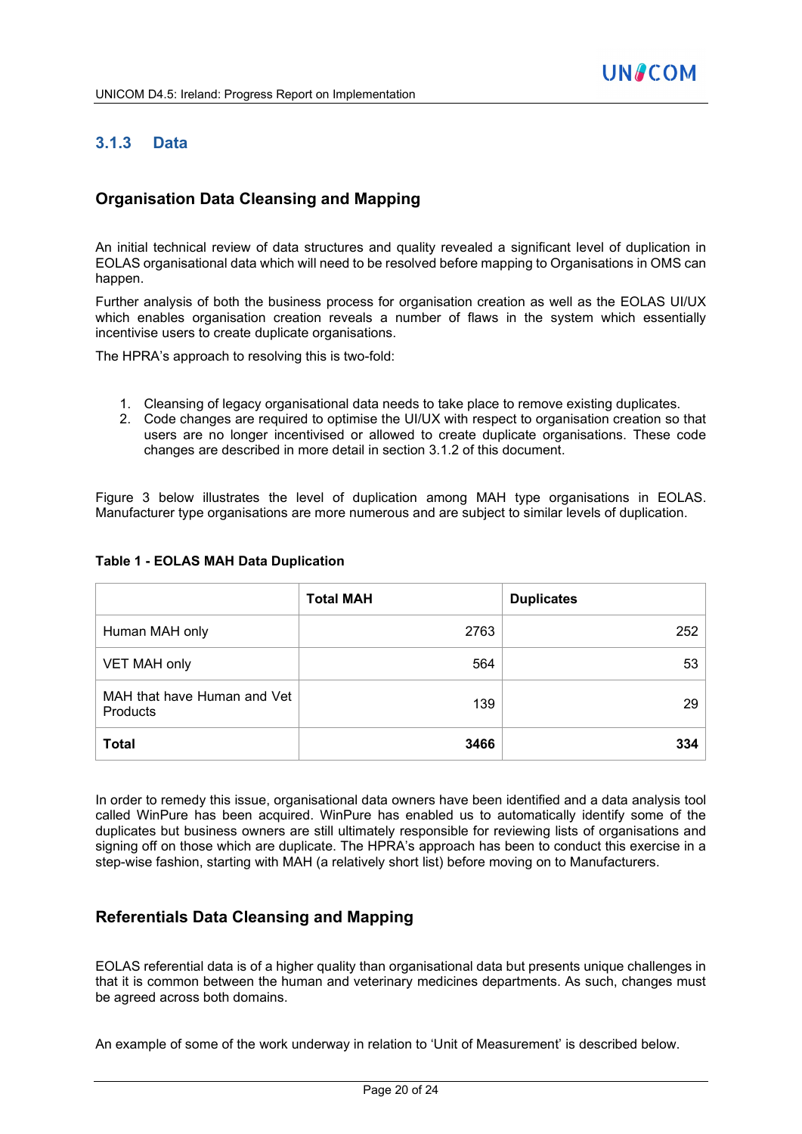# **3.1.3 Data**

# **Organisation Data Cleansing and Mapping**

An initial technical review of data structures and quality revealed a significant level of duplication in EOLAS organisational data which will need to be resolved before mapping to Organisations in OMS can happen.

Further analysis of both the business process for organisation creation as well as the EOLAS UI/UX which enables organisation creation reveals a number of flaws in the system which essentially incentivise users to create duplicate organisations.

The HPRA's approach to resolving this is two-fold:

- 1. Cleansing of legacy organisational data needs to take place to remove existing duplicates.
- 2. Code changes are required to optimise the UI/UX with respect to organisation creation so that users are no longer incentivised or allowed to create duplicate organisations. These code changes are described in more detail in section 3.1.2 of this document.

Figure 3 below illustrates the level of duplication among MAH type organisations in EOLAS. Manufacturer type organisations are more numerous and are subject to similar levels of duplication.

|                                         | <b>Total MAH</b> | <b>Duplicates</b> |
|-----------------------------------------|------------------|-------------------|
| Human MAH only                          | 2763             | 252               |
| VET MAH only                            | 564              | 53                |
| MAH that have Human and Vet<br>Products | 139              | 29                |
| <b>Total</b>                            | 3466             | 334               |

#### **Table 1 - EOLAS MAH Data Duplication**

In order to remedy this issue, organisational data owners have been identified and a data analysis tool called WinPure has been acquired. WinPure has enabled us to automatically identify some of the duplicates but business owners are still ultimately responsible for reviewing lists of organisations and signing off on those which are duplicate. The HPRA's approach has been to conduct this exercise in a step-wise fashion, starting with MAH (a relatively short list) before moving on to Manufacturers.

#### **Referentials Data Cleansing and Mapping**

EOLAS referential data is of a higher quality than organisational data but presents unique challenges in that it is common between the human and veterinary medicines departments. As such, changes must be agreed across both domains.

An example of some of the work underway in relation to 'Unit of Measurement' is described below.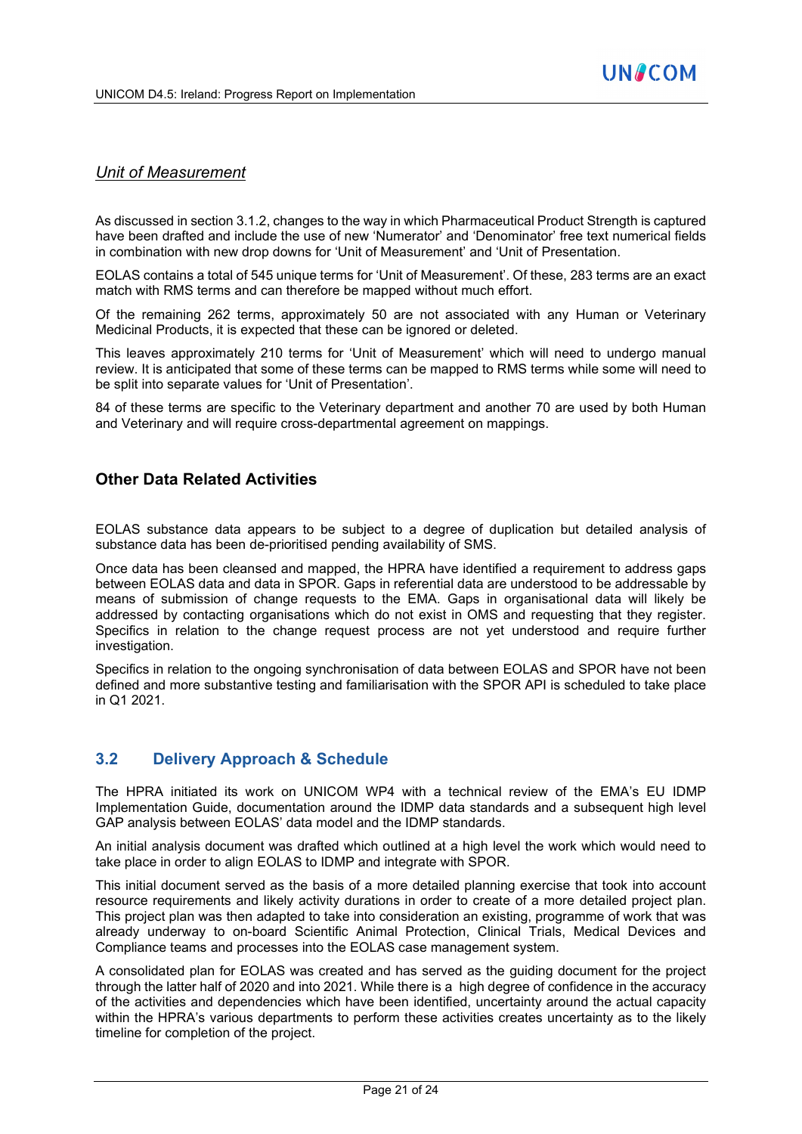# *Unit of Measurement*

As discussed in section 3.1.2, changes to the way in which Pharmaceutical Product Strength is captured have been drafted and include the use of new 'Numerator' and 'Denominator' free text numerical fields in combination with new drop downs for 'Unit of Measurement' and 'Unit of Presentation.

EOLAS contains a total of 545 unique terms for 'Unit of Measurement'. Of these, 283 terms are an exact match with RMS terms and can therefore be mapped without much effort.

Of the remaining 262 terms, approximately 50 are not associated with any Human or Veterinary Medicinal Products, it is expected that these can be ignored or deleted.

This leaves approximately 210 terms for 'Unit of Measurement' which will need to undergo manual review. It is anticipated that some of these terms can be mapped to RMS terms while some will need to be split into separate values for 'Unit of Presentation'.

84 of these terms are specific to the Veterinary department and another 70 are used by both Human and Veterinary and will require cross-departmental agreement on mappings.

# **Other Data Related Activities**

EOLAS substance data appears to be subject to a degree of duplication but detailed analysis of substance data has been de-prioritised pending availability of SMS.

Once data has been cleansed and mapped, the HPRA have identified a requirement to address gaps between EOLAS data and data in SPOR. Gaps in referential data are understood to be addressable by means of submission of change requests to the EMA. Gaps in organisational data will likely be addressed by contacting organisations which do not exist in OMS and requesting that they register. Specifics in relation to the change request process are not yet understood and require further investigation.

Specifics in relation to the ongoing synchronisation of data between EOLAS and SPOR have not been defined and more substantive testing and familiarisation with the SPOR API is scheduled to take place in Q1 2021.

# **3.2 Delivery Approach & Schedule**

The HPRA initiated its work on UNICOM WP4 with a technical review of the EMA's EU IDMP Implementation Guide, documentation around the IDMP data standards and a subsequent high level GAP analysis between EOLAS' data model and the IDMP standards.

An initial analysis document was drafted which outlined at a high level the work which would need to take place in order to align EOLAS to IDMP and integrate with SPOR.

This initial document served as the basis of a more detailed planning exercise that took into account resource requirements and likely activity durations in order to create of a more detailed project plan. This project plan was then adapted to take into consideration an existing, programme of work that was already underway to on-board Scientific Animal Protection, Clinical Trials, Medical Devices and Compliance teams and processes into the EOLAS case management system.

A consolidated plan for EOLAS was created and has served as the guiding document for the project through the latter half of 2020 and into 2021. While there is a high degree of confidence in the accuracy of the activities and dependencies which have been identified, uncertainty around the actual capacity within the HPRA's various departments to perform these activities creates uncertainty as to the likely timeline for completion of the project.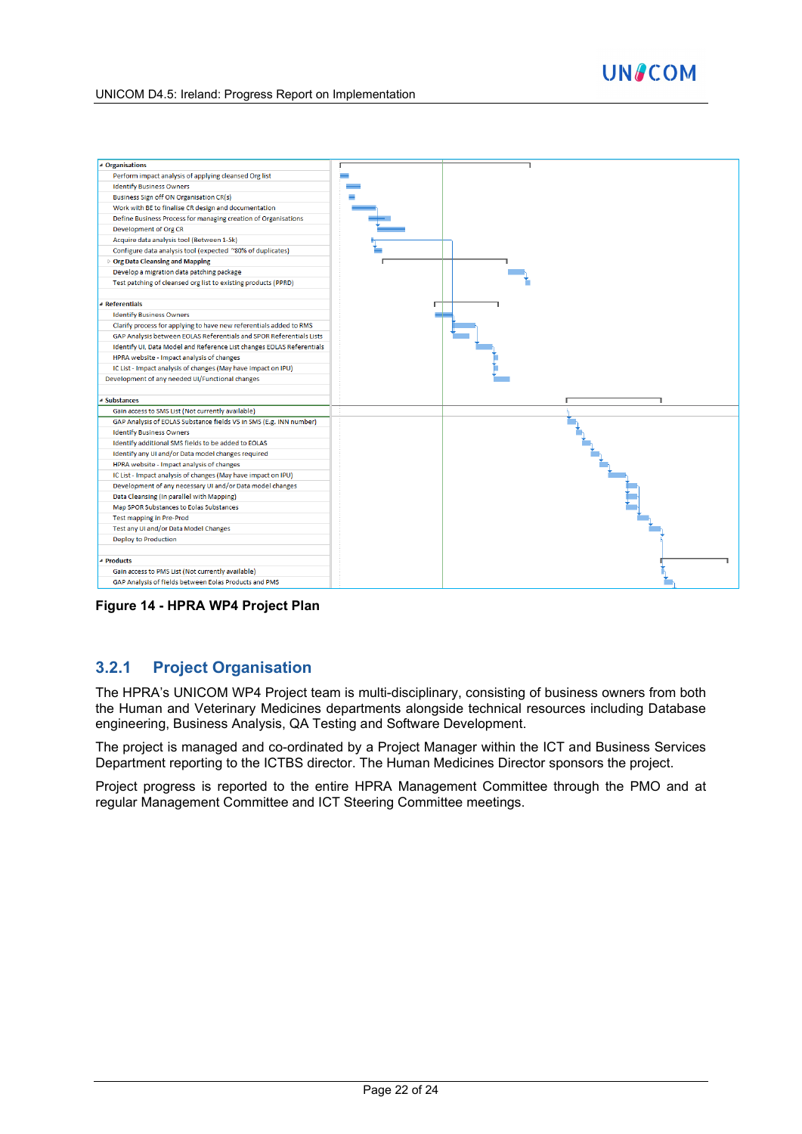



**Figure 14 - HPRA WP4 Project Plan**

## **3.2.1 Project Organisation**

The HPRA's UNICOM WP4 Project team is multi-disciplinary, consisting of business owners from both the Human and Veterinary Medicines departments alongside technical resources including Database engineering, Business Analysis, QA Testing and Software Development.

The project is managed and co-ordinated by a Project Manager within the ICT and Business Services Department reporting to the ICTBS director. The Human Medicines Director sponsors the project.

Project progress is reported to the entire HPRA Management Committee through the PMO and at regular Management Committee and ICT Steering Committee meetings.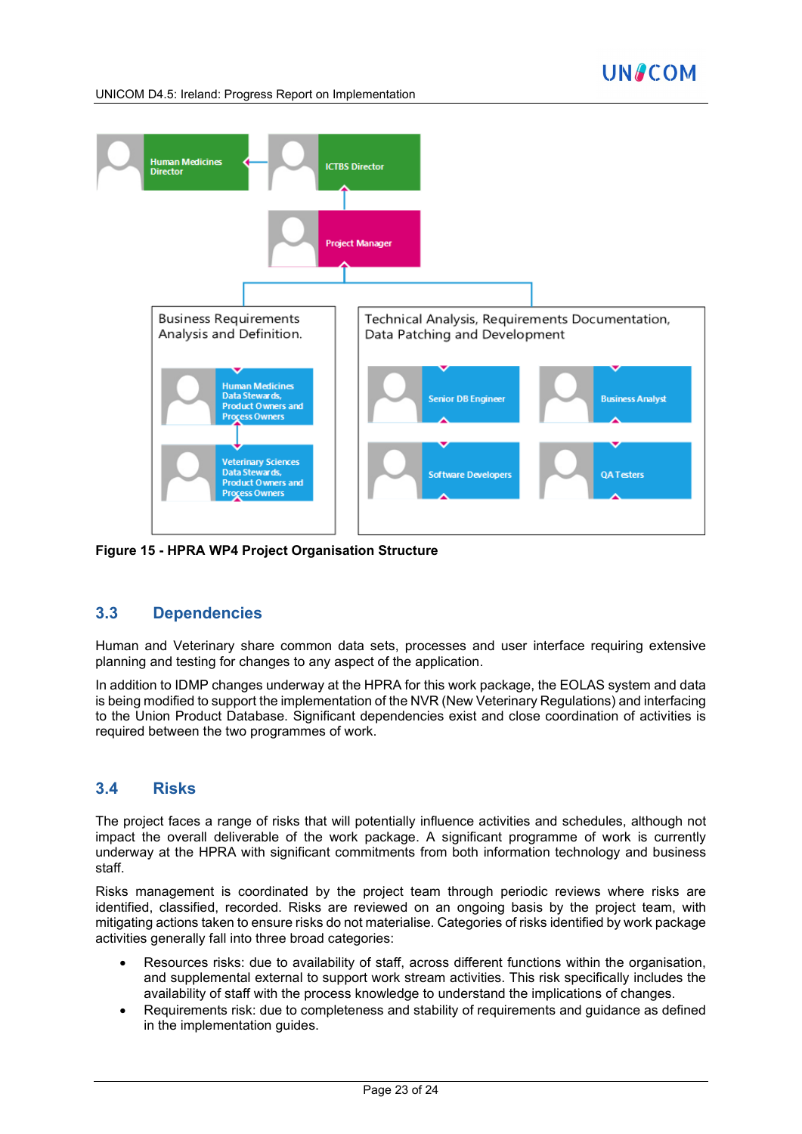UNICOM D4.5: Ireland: Progress Report on Implementation



**Figure 15 - HPRA WP4 Project Organisation Structure**

## **3.3 Dependencies**

Human and Veterinary share common data sets, processes and user interface requiring extensive planning and testing for changes to any aspect of the application.

In addition to IDMP changes underway at the HPRA for this work package, the EOLAS system and data is being modified to support the implementation of the NVR (New Veterinary Regulations) and interfacing to the Union Product Database. Significant dependencies exist and close coordination of activities is required between the two programmes of work.

## **3.4 Risks**

The project faces a range of risks that will potentially influence activities and schedules, although not impact the overall deliverable of the work package. A significant programme of work is currently underway at the HPRA with significant commitments from both information technology and business staff.

Risks management is coordinated by the project team through periodic reviews where risks are identified, classified, recorded. Risks are reviewed on an ongoing basis by the project team, with mitigating actions taken to ensure risks do not materialise. Categories of risks identified by work package activities generally fall into three broad categories:

- Resources risks: due to availability of staff, across different functions within the organisation, and supplemental external to support work stream activities. This risk specifically includes the availability of staff with the process knowledge to understand the implications of changes.
- Requirements risk: due to completeness and stability of requirements and guidance as defined in the implementation guides.